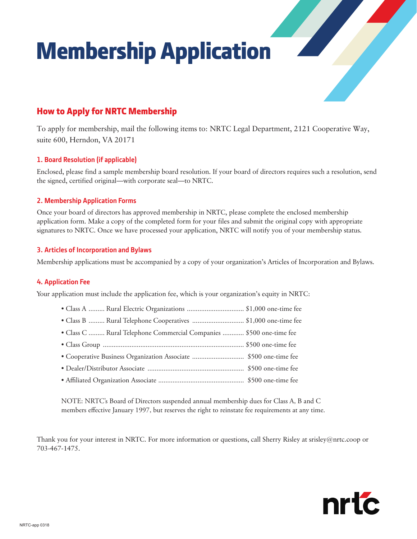# Membership Application

# How to Apply for NRTC Membership

To apply for membership, mail the following items to: NRTC Legal Department, 2121 Cooperative Way, suite 600, Herndon, VA 20171

#### **1. Board Resolution (if applicable)**

Enclosed, please find a sample membership board resolution. If your board of directors requires such a resolution, send the signed, certified original—with corporate seal—to NRTC.

#### **2. Membership Application Forms**

Once your board of directors has approved membership in NRTC, please complete the enclosed membership application form. Make a copy of the completed form for your files and submit the original copy with appropriate signatures to NRTC. Once we have processed your application, NRTC will notify you of your membership status.

#### **3. Articles of Incorporation and Bylaws**

Membership applications must be accompanied by a copy of your organization's Articles of Incorporation and Bylaws.

#### **4. Application Fee**

Your application must include the application fee, which is your organization's equity in NRTC:

- Class A ......... Rural Electric Organizations ................................ \$1,000 one-time fee
- Class B ......... Rural Telephone Cooperatives ............................. \$1,000 one-time fee
- Class C ......... Rural Telephone Commercial Companies ............ \$500 one-time fee
- Class Group ............................................................................... \$500 one-time fee
- Cooperative Business Organization Associate ............................. \$500 one-time fee
- Dealer/Distributor Associate ...................................................... \$500 one-time fee
- Affiliated Organization Associate ................................................ \$500 one-time fee

NOTE: NRTC's Board of Directors suspended annual membership dues for Class A, B and C members effective January 1997, but reserves the right to reinstate fee requirements at any time.

Thank you for your interest in NRTC. For more information or questions, call Sherry Risley at srisley@nrtc.coop or 703-467-1475.

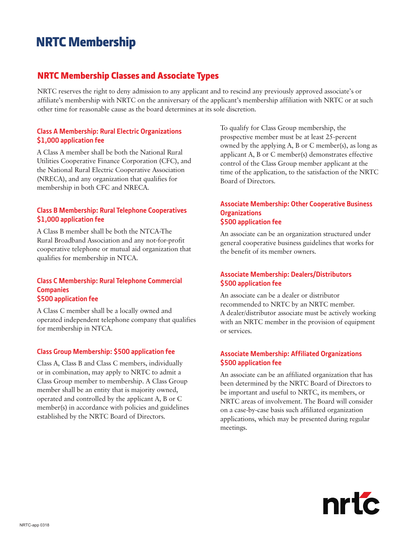# NRTC Membership

### NRTC Membership Classes and Associate Types

NRTC reserves the right to deny admission to any applicant and to rescind any previously approved associate's or affiliate's membership with NRTC on the anniversary of the applicant's membership affiliation with NRTC or at such other time for reasonable cause as the board determines at its sole discretion.

#### **Class A Membership: Rural Electric Organizations \$1,000 application fee**

A Class A member shall be both the National Rural Utilities Cooperative Finance Corporation (CFC), and the National Rural Electric Cooperative Association (NRECA), and any organization that qualifies for membership in both CFC and NRECA.

#### **Class B Membership: Rural Telephone Cooperatives \$1,000 application fee**

A Class B member shall be both the NTCA-The Rural Broadband Association and any not-for-profit cooperative telephone or mutual aid organization that qualifies for membership in NTCA.

#### **Class C Membership: Rural Telephone Commercial Companies \$500 application fee**

A Class C member shall be a locally owned and operated independent telephone company that qualifies for membership in NTCA.

#### **Class Group Membership: \$500 application fee**

Class A, Class B and Class C members, individually or in combination, may apply to NRTC to admit a Class Group member to membership. A Class Group member shall be an entity that is majority owned, operated and controlled by the applicant A, B or C member(s) in accordance with policies and guidelines established by the NRTC Board of Directors.

To qualify for Class Group membership, the prospective member must be at least 25-percent owned by the applying A, B or C member(s), as long as applicant A, B or C member(s) demonstrates effective control of the Class Group member applicant at the time of the application, to the satisfaction of the NRTC Board of Directors.

#### **Associate Membership: Other Cooperative Business Organizations \$500 application fee**

An associate can be an organization structured under general cooperative business guidelines that works for the benefit of its member owners.

#### **Associate Membership: Dealers/Distributors \$500 application fee**

An associate can be a dealer or distributor recommended to NRTC by an NRTC member. A dealer/distributor associate must be actively working with an NRTC member in the provision of equipment or services.

#### **Associate Membership: Affiliated Organizations \$500 application fee**

An associate can be an affiliated organization that has been determined by the NRTC Board of Directors to be important and useful to NRTC, its members, or NRTC areas of involvement. The Board will consider on a case-by-case basis such affiliated organization applications, which may be presented during regular meetings.

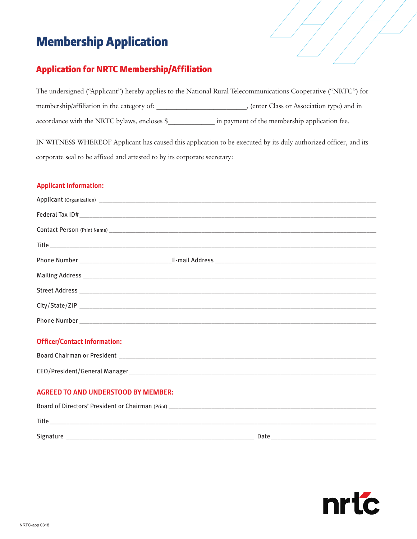# Membership Application

# Application for NRTC Membership/Affiliation

|                                                                                                                 | The undersigned ("Applicant") hereby applies to the National Rural Telecommunications Cooperative ("NRTC") for |  |  |  |  |  |
|-----------------------------------------------------------------------------------------------------------------|----------------------------------------------------------------------------------------------------------------|--|--|--|--|--|
| membership/affiliation in the category of:                                                                      | , (enter Class or Association type) and in                                                                     |  |  |  |  |  |
| accordance with the NRTC bylaws, encloses \$                                                                    | in payment of the membership application fee.                                                                  |  |  |  |  |  |
| IN WITNESS WHEREOF Applicant has caused this application to be executed by its duly authorized officer, and its |                                                                                                                |  |  |  |  |  |
| corporate seal to be affixed and attested to by its corporate secretary:                                        |                                                                                                                |  |  |  |  |  |

#### **Applicant Information:**

#### **Officer/Contact Information:**

| <b>Board Chairman or President</b> |
|------------------------------------|
|                                    |
| CEO/President/General Manager      |

#### **AGREED TO AND UNDERSTOOD BY MEMBER:**

| Board of Directors' President or Chairman (Print) |      |  |  |  |  |  |
|---------------------------------------------------|------|--|--|--|--|--|
| Title                                             |      |  |  |  |  |  |
| Signature                                         | Date |  |  |  |  |  |

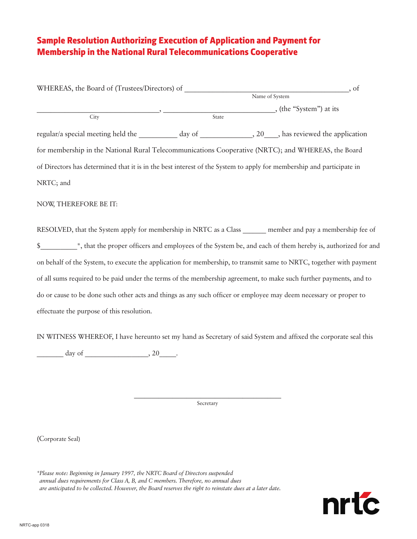## Sample Resolution Authorizing Execution of Application and Payment for Membership in the National Rural Telecommunications Cooperative

| WHEREAS, the Board of (Trustees/Directors) of                                                                        |       |                       | , of |
|----------------------------------------------------------------------------------------------------------------------|-------|-----------------------|------|
|                                                                                                                      |       | Name of System        |      |
|                                                                                                                      |       | (the "System") at its |      |
| City                                                                                                                 | State |                       |      |
| regular/a special meeting held the ___________ day of _______________, 20____, has reviewed the application          |       |                       |      |
| for membership in the National Rural Telecommunications Cooperative (NRTC); and WHEREAS, the Board                   |       |                       |      |
| of Directors has determined that it is in the best interest of the System to apply for membership and participate in |       |                       |      |
| NRTC; and                                                                                                            |       |                       |      |
| NOW, THEREFORE BE IT:                                                                                                |       |                       |      |
| RESOLVED, that the System apply for membership in NRTC as a Class ______ member and pay a membership fee of          |       |                       |      |
|                                                                                                                      |       |                       |      |
| on behalf of the System, to execute the application for membership, to transmit same to NRTC, together with payment  |       |                       |      |
| of all sums required to be paid under the terms of the membership agreement, to make such further payments, and to   |       |                       |      |
| do or cause to be done such other acts and things as any such officer or employee may deem necessary or proper to    |       |                       |      |
| effectuate the purpose of this resolution.                                                                           |       |                       |      |
|                                                                                                                      |       |                       |      |

IN WITNESS WHEREOF, I have hereunto set my hand as Secretary of said System and affixed the corporate seal this

 $\frac{1}{20}$  day of  $\frac{1}{20}$ .

Secretary

(Corporate Seal)

*\*Please note: Beginning in January 1997, the NRTC Board of Directors suspended annual dues requirements for Class A, B, and C members. Therefore, no annual dues are anticipated to be collected. However, the Board reserves the right to reinstate dues at a later date.*

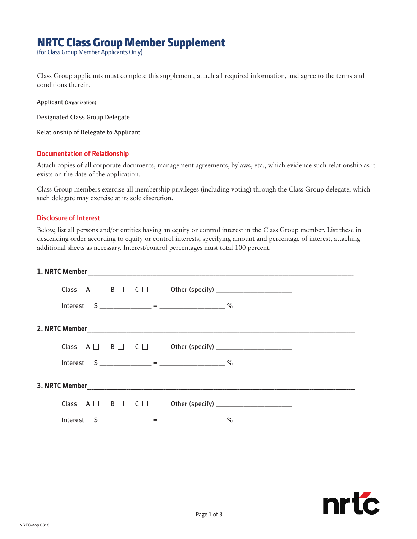# NRTC Class Group Member Supplement

(for Class Group Member Applicants Only)

Class Group applicants must complete this supplement, attach all required information, and agree to the terms and conditions therein.

| Applicant (Organization)              |
|---------------------------------------|
| Designated Class Group Delegate       |
| Relationship of Delegate to Applicant |

#### **Documentation of Relationship**

Attach copies of all corporate documents, management agreements, bylaws, etc., which evidence such relationship as it exists on the date of the application.

Class Group members exercise all membership privileges (including voting) through the Class Group delegate, which such delegate may exercise at its sole discretion.

#### **Disclosure of Interest**

Below, list all persons and/or entities having an equity or control interest in the Class Group member. List these in descending order according to equity or control interests, specifying amount and percentage of interest, attaching additional sheets as necessary. Interest/control percentages must total 100 percent.

|  |  |  | Interest $\$$ ____________ = ____________________ % |  |  |  |  |
|--|--|--|-----------------------------------------------------|--|--|--|--|
|  |  |  |                                                     |  |  |  |  |
|  |  |  |                                                     |  |  |  |  |
|  |  |  | Interest $\$$ = $\%$                                |  |  |  |  |
|  |  |  |                                                     |  |  |  |  |
|  |  |  |                                                     |  |  |  |  |
|  |  |  | Interest $\$$ ___________ = ___________________ %   |  |  |  |  |

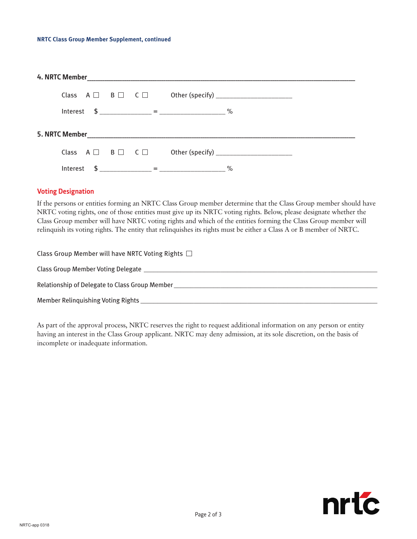|  | Interest |  |  |  | $\frac{1}{2}$ $\frac{1}{2}$ $\frac{1}{2}$ $\frac{1}{2}$ $\frac{1}{2}$ $\frac{1}{2}$ $\frac{1}{2}$ $\frac{1}{2}$ $\frac{1}{2}$ $\frac{1}{2}$ $\frac{1}{2}$ $\frac{1}{2}$ $\frac{1}{2}$ $\frac{1}{2}$ $\frac{1}{2}$ $\frac{1}{2}$ $\frac{1}{2}$ $\frac{1}{2}$ $\frac{1}{2}$ $\frac{1}{2}$ $\frac{1}{2}$ $\frac{1}{2}$ |
|--|----------|--|--|--|---------------------------------------------------------------------------------------------------------------------------------------------------------------------------------------------------------------------------------------------------------------------------------------------------------------------|

#### **Voting Designation**

If the persons or entities forming an NRTC Class Group member determine that the Class Group member should have NRTC voting rights, one of those entities must give up its NRTC voting rights. Below, please designate whether the Class Group member will have NRTC voting rights and which of the entities forming the Class Group member will relinquish its voting rights. The entity that relinquishes its rights must be either a Class A or B member of NRTC.

| Class Group Member will have NRTC Voting Rights $\Box$ |
|--------------------------------------------------------|
| Class Group Member Voting Delegate                     |
| Relationship of Delegate to Class Group Member         |
| Member Relinguishing Voting Rights                     |

As part of the approval process, NRTC reserves the right to request additional information on any person or entity having an interest in the Class Group applicant. NRTC may deny admission, at its sole discretion, on the basis of incomplete or inadequate information.